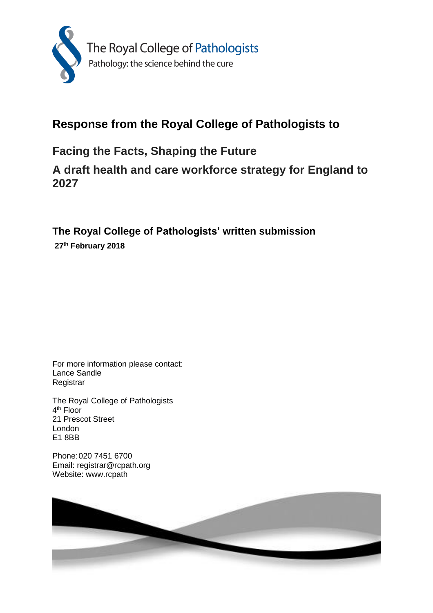

# **Response from the Royal College of Pathologists to**

## **Facing the Facts, Shaping the Future**

## **A draft health and care workforce strategy for England to 2027**

**The Royal College of Pathologists' written submission**

**27th February 2018**

For more information please contact: Lance Sandle Registrar

The Royal College of Pathologists 4<sup>th</sup> Floor 21 Prescot Street London E1 8BB

Phone:020 7451 6700 Email: registrar@rcpath.org Website: www.rcpath

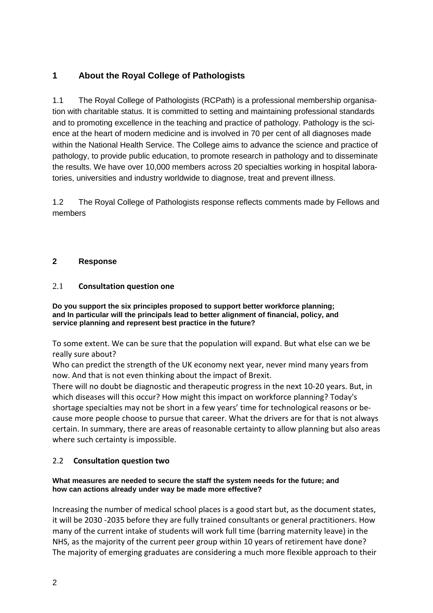## **1 About the Royal College of Pathologists**

1.1 The Royal College of Pathologists (RCPath) is a professional membership organisation with charitable status. It is committed to setting and maintaining professional standards and to promoting excellence in the teaching and practice of pathology. Pathology is the science at the heart of modern medicine and is involved in 70 per cent of all diagnoses made within the National Health Service. The College aims to advance the science and practice of pathology, to provide public education, to promote research in pathology and to disseminate the results. We have over 10,000 members across 20 specialties working in hospital laboratories, universities and industry worldwide to diagnose, treat and prevent illness.

1.2 The Royal College of Pathologists response reflects comments made by Fellows and members

## **2 Response**

## 2.1 **Consultation question one**

#### **Do you support the six principles proposed to support better workforce planning; and In particular will the principals lead to better alignment of financial, policy, and service planning and represent best practice in the future?**

To some extent. We can be sure that the population will expand. But what else can we be really sure about?

Who can predict the strength of the UK economy next year, never mind many years from now. And that is not even thinking about the impact of Brexit.

There will no doubt be diagnostic and therapeutic progress in the next 10-20 years. But, in which diseases will this occur? How might this impact on workforce planning? Today's shortage specialties may not be short in a few years' time for technological reasons or because more people choose to pursue that career. What the drivers are for that is not always certain. In summary, there are areas of reasonable certainty to allow planning but also areas where such certainty is impossible.

## 2.2 **Consultation question two**

#### **What measures are needed to secure the staff the system needs for the future; and how can actions already under way be made more effective?**

Increasing the number of medical school places is a good start but, as the document states, it will be 2030 -2035 before they are fully trained consultants or general practitioners. How many of the current intake of students will work full time (barring maternity leave) in the NHS, as the majority of the current peer group within 10 years of retirement have done? The majority of emerging graduates are considering a much more flexible approach to their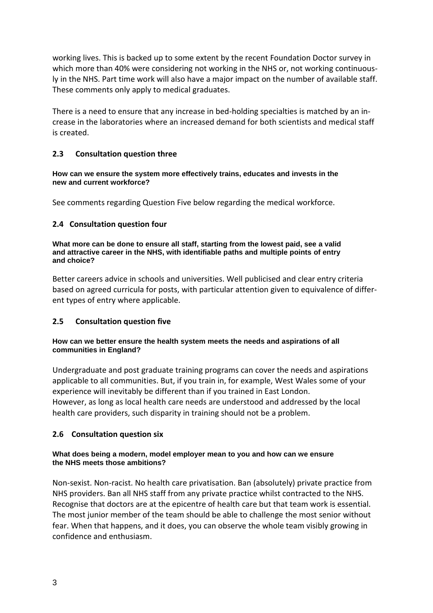working lives. This is backed up to some extent by the recent Foundation Doctor survey in which more than 40% were considering not working in the NHS or, not working continuously in the NHS. Part time work will also have a major impact on the number of available staff. These comments only apply to medical graduates.

There is a need to ensure that any increase in bed-holding specialties is matched by an increase in the laboratories where an increased demand for both scientists and medical staff is created.

## **2.3 Consultation question three**

#### **How can we ensure the system more effectively trains, educates and invests in the new and current workforce?**

See comments regarding Question Five below regarding the medical workforce.

## **2.4 Consultation question four**

**What more can be done to ensure all staff, starting from the lowest paid, see a valid and attractive career in the NHS, with identifiable paths and multiple points of entry and choice?**

Better careers advice in schools and universities. Well publicised and clear entry criteria based on agreed curricula for posts, with particular attention given to equivalence of different types of entry where applicable.

## **2.5 Consultation question five**

#### **How can we better ensure the health system meets the needs and aspirations of all communities in England?**

Undergraduate and post graduate training programs can cover the needs and aspirations applicable to all communities. But, if you train in, for example, West Wales some of your experience will inevitably be different than if you trained in East London. However, as long as local health care needs are understood and addressed by the local health care providers, such disparity in training should not be a problem.

## **2.6 Consultation question six**

#### **What does being a modern, model employer mean to you and how can we ensure the NHS meets those ambitions?**

Non-sexist. Non-racist. No health care privatisation. Ban (absolutely) private practice from NHS providers. Ban all NHS staff from any private practice whilst contracted to the NHS. Recognise that doctors are at the epicentre of health care but that team work is essential. The most junior member of the team should be able to challenge the most senior without fear. When that happens, and it does, you can observe the whole team visibly growing in confidence and enthusiasm.